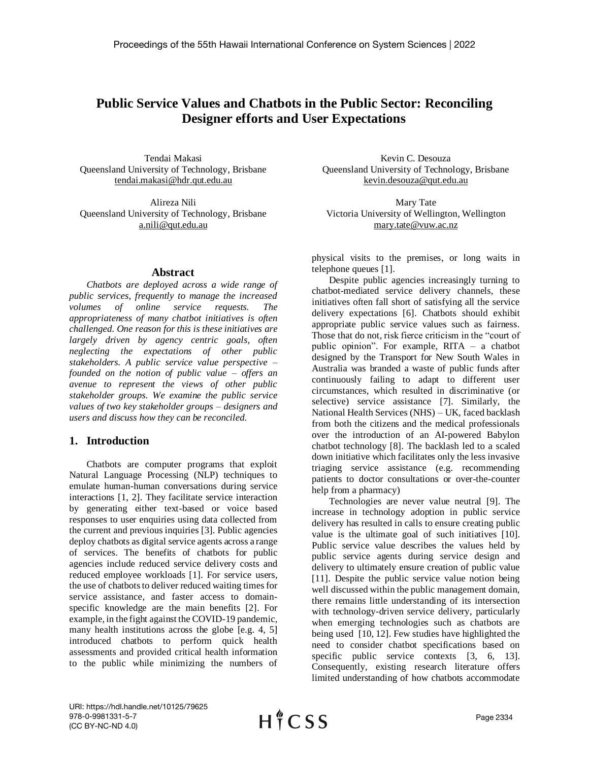# **Public Service Values and Chatbots in the Public Sector: Reconciling Designer efforts and User Expectations**

Tendai Makasi Queensland University of Technology, Brisbane [tendai.makasi@hdr.qut.edu.au](mailto:tendai.makasi@hdr.qut.edu.au)

Alireza Nili Queensland University of Technology, Brisbane [a.nili@qut.edu.au](mailto:a.nili@qut.edu.au)

#### **Abstract**

*Chatbots are deployed across a wide range of public services, frequently to manage the increased volumes of online service requests. The appropriateness of many chatbot initiatives is often challenged. One reason for this is these initiatives are largely driven by agency centric goals, often neglecting the expectations of other public stakeholders. A public service value perspective – founded on the notion of public value – offers an avenue to represent the views of other public stakeholder groups. We examine the public service values of two key stakeholder groups – designers and users and discuss how they can be reconciled.*

# **1. Introduction**

Chatbots are computer programs that exploit Natural Language Processing (NLP) techniques to emulate human-human conversations during service interactions [1, 2]. They facilitate service interaction by generating either text-based or voice based responses to user enquiries using data collected from the current and previous inquiries [3]. Public agencies deploy chatbots as digital service agents across a range of services. The benefits of chatbots for public agencies include reduced service delivery costs and reduced employee workloads [1]. For service users, the use of chatbots to deliver reduced waiting times for service assistance, and faster access to domainspecific knowledge are the main benefits [2]. For example, in the fight against the COVID-19 pandemic, many health institutions across the globe [e.g. 4, 5] introduced chatbots to perform quick health assessments and provided critical health information to the public while minimizing the numbers of

Kevin C. Desouza Queensland University of Technology, Brisbane [kevin.desouza@qut.edu.au](mailto:kevin.desouza@qut.edu.au)

Mary Tate Victoria University of Wellington, Wellington mary.tate@vuw.ac.nz

physical visits to the premises, or long waits in telephone queues [1].

Despite public agencies increasingly turning to chatbot-mediated service delivery channels, these initiatives often fall short of satisfying all the service delivery expectations [6]. Chatbots should exhibit appropriate public service values such as fairness. Those that do not, risk fierce criticism in the "court of public opinion". For example, RITA – a chatbot designed by the Transport for New South Wales in Australia was branded a waste of public funds after continuously failing to adapt to different user circumstances, which resulted in discriminative (or selective) service assistance [7]. Similarly, the National Health Services (NHS) – UK, faced backlash from both the citizens and the medical professionals over the introduction of an AI-powered Babylon chatbot technology [8]. The backlash led to a scaled down initiative which facilitates only the less invasive triaging service assistance (e.g. recommending patients to doctor consultations or over-the-counter help from a pharmacy)

Technologies are never value neutral [9]. The increase in technology adoption in public service delivery has resulted in calls to ensure creating public value is the ultimate goal of such initiatives [10]. Public service value describes the values held by public service agents during service design and delivery to ultimately ensure creation of public value [11]. Despite the public service value notion being well discussed within the public management domain, there remains little understanding of its intersection with technology-driven service delivery, particularly when emerging technologies such as chatbots are being used [10, 12]. Few studies have highlighted the need to consider chatbot specifications based on specific public service contexts [3, 6, 13]. Consequently, existing research literature offers limited understanding of how chatbots accommodate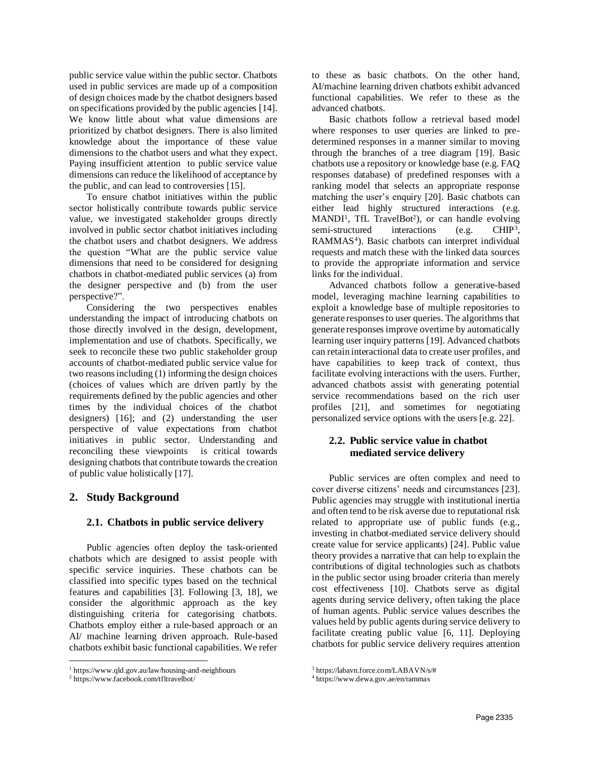public service value within the public sector. Chatbots used in public services are made up of a composition of design choices made by the chatbot designers based on specifications provided by the public agencies [14]. We know little about what value dimensions are prioritized by chatbot designers. There is also limited knowledge about the importance of these value dimensions to the chatbot users and what they expect. Paying insufficient attention to public service value dimensions can reduce the likelihood of acceptance by the public, and can lead to controversies [15].

To ensure chatbot initiatives within the public sector holistically contribute towards public service value, we investigated stakeholder groups directly involved in public sector chatbot initiatives including the chatbot users and chatbot designers. We address the question "What are the public service value dimensions that need to be considered for designing chatbots in chatbot-mediated public services (a) from the designer perspective and (b) from the user perspective?".

Considering the two perspectives enables understanding the impact of introducing chatbots on those directly involved in the design, development, implementation and use of chatbots. Specifically, we seek to reconcile these two public stakeholder group accounts of chatbot-mediated public service value for two reasons including (1) informing the design choices (choices of values which are driven partly by the requirements defined by the public agencies and other times by the individual choices of the chatbot designers) [16]; and (2) understanding the user perspective of value expectations from chatbot initiatives in public sector. Understanding and reconciling these viewpoints is critical towards designing chatbots that contribute towards the creation of public value holistically [17].

# **2. Study Background**

#### **2.1. Chatbots in public service delivery**

Public agencies often deploy the task-oriented chatbots which are designed to assist people with specific service inquiries. These chatbots can be classified into specific types based on the technical features and capabilities [3]. Following [3, 18], we consider the algorithmic approach as the key distinguishing criteria for categorising chatbots. Chatbots employ either a rule-based approach or an AI/ machine learning driven approach. Rule-based chatbots exhibit basic functional capabilities. We refer

to these as basic chatbots. On the other hand, AI/machine learning driven chatbots exhibit advanced functional capabilities. We refer to these as the advanced chatbots.

Basic chatbots follow a retrieval based model where responses to user queries are linked to predetermined responses in a manner similar to moving through the branches of a tree diagram [19]. Basic chatbots use a repository or knowledge base (e.g. FAQ responses database) of predefined responses with a ranking model that selects an appropriate response matching the user's enquiry [20]. Basic chatbots can either lead highly structured interactions (e.g. MANDI<sup>1</sup>, TfL TravelBot<sup>2</sup>), or can handle evolving semi-structured interactions (e.g.  $CHIP<sup>3</sup>$ , RAMMAS<sup>4</sup>). Basic chatbots can interpret individual requests and match these with the linked data sources to provide the appropriate information and service links for the individual.

Advanced chatbots follow a generative-based model, leveraging machine learning capabilities to exploit a knowledge base of multiple repositories to generate responses to user queries. The algorithms that generate responses improve overtime by automatically learning user inquiry patterns [19]. Advanced chatbots can retain interactional data to create user profiles, and have capabilities to keep track of context, thus facilitate evolving interactions with the users. Further, advanced chatbots assist with generating potential service recommendations based on the rich user profiles [21], and sometimes for negotiating personalized service options with the users [e.g. 22].

#### **2.2. Public service value in chatbot mediated service delivery**

Public services are often complex and need to cover diverse citizens' needs and circumstances [23]. Public agencies may struggle with institutional inertia and often tend to be risk averse due to reputational risk related to appropriate use of public funds (e.g., investing in chatbot-mediated service delivery should create value for service applicants) [24]. Public value theory provides a narrative that can help to explain the contributions of digital technologies such as chatbots in the public sector using broader criteria than merely cost effectiveness [10]. Chatbots serve as digital agents during service delivery, often taking the place of human agents. Public service values describes the values held by public agents during service delivery to facilitate creating public value [6, 11]. Deploying chatbots for public service delivery requires attention

<sup>1</sup> https://www.qld.gov.au/law/housing-and-neighbours

<sup>2</sup> https://www.facebook.com/tfltravelbot/

<sup>3</sup> https://labavn.force.com/LABAVN/s/#

<sup>4</sup> https://www.dewa.gov.ae/en/rammas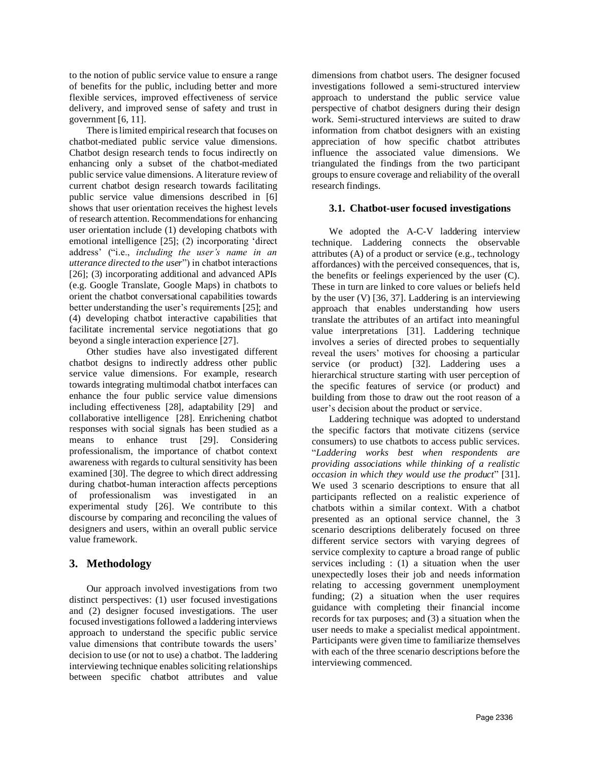to the notion of public service value to ensure a range of benefits for the public, including better and more flexible services, improved effectiveness of service delivery, and improved sense of safety and trust in government [6, 11].

There is limited empirical research that focuses on chatbot-mediated public service value dimensions. Chatbot design research tends to focus indirectly on enhancing only a subset of the chatbot-mediated public service value dimensions. A literature review of current chatbot design research towards facilitating public service value dimensions described in [6] shows that user orientation receives the highest levels of research attention. Recommendations for enhancing user orientation include (1) developing chatbots with emotional intelligence [25]; (2) incorporating 'direct address' ("i.e., *including the user's name in an utterance directed to the user*") in chatbot interactions [26]; (3) incorporating additional and advanced APIs (e.g. Google Translate, Google Maps) in chatbots to orient the chatbot conversational capabilities towards better understanding the user's requirements [25]; and (4) developing chatbot interactive capabilities that facilitate incremental service negotiations that go beyond a single interaction experience [27].

Other studies have also investigated different chatbot designs to indirectly address other public service value dimensions. For example, research towards integrating multimodal chatbot interfaces can enhance the four public service value dimensions including effectiveness [28], adaptability [29] and collaborative intelligence [28]. Enrichening chatbot responses with social signals has been studied as a means to enhance trust [29]. Considering professionalism, the importance of chatbot context awareness with regards to cultural sensitivity has been examined [30]. The degree to which direct addressing during chatbot-human interaction affects perceptions of professionalism was investigated in an experimental study [26]. We contribute to this discourse by comparing and reconciling the values of designers and users, within an overall public service value framework.

# **3. Methodology**

Our approach involved investigations from two distinct perspectives: (1) user focused investigations and (2) designer focused investigations. The user focused investigations followed a laddering interviews approach to understand the specific public service value dimensions that contribute towards the users' decision to use (or not to use) a chatbot. The laddering interviewing technique enables soliciting relationships between specific chatbot attributes and value dimensions from chatbot users. The designer focused investigations followed a semi-structured interview approach to understand the public service value perspective of chatbot designers during their design work. Semi-structured interviews are suited to draw information from chatbot designers with an existing appreciation of how specific chatbot attributes influence the associated value dimensions. We triangulated the findings from the two participant groups to ensure coverage and reliability of the overall research findings.

#### **3.1. Chatbot-user focused investigations**

We adopted the A-C-V laddering interview technique. Laddering connects the observable attributes (A) of a product or service (e.g., technology affordances) with the perceived consequences, that is, the benefits or feelings experienced by the user (C). These in turn are linked to core values or beliefs held by the user  $(V)$  [36, 37]. Laddering is an interviewing approach that enables understanding how users translate the attributes of an artifact into meaningful value interpretations [31]. Laddering technique involves a series of directed probes to sequentially reveal the users' motives for choosing a particular service (or product) [32]. Laddering uses a hierarchical structure starting with user perception of the specific features of service (or product) and building from those to draw out the root reason of a user's decision about the product or service.

Laddering technique was adopted to understand the specific factors that motivate citizens (service consumers) to use chatbots to access public services. "*Laddering works best when respondents are providing associations while thinking of a realistic occasion in which they would use the product*" [31]. We used 3 scenario descriptions to ensure that all participants reflected on a realistic experience of chatbots within a similar context. With a chatbot presented as an optional service channel, the 3 scenario descriptions deliberately focused on three different service sectors with varying degrees of service complexity to capture a broad range of public services including : (1) a situation when the user unexpectedly loses their job and needs information relating to accessing government unemployment funding; (2) a situation when the user requires guidance with completing their financial income records for tax purposes; and (3) a situation when the user needs to make a specialist medical appointment. Participants were given time to familiarize themselves with each of the three scenario descriptions before the interviewing commenced.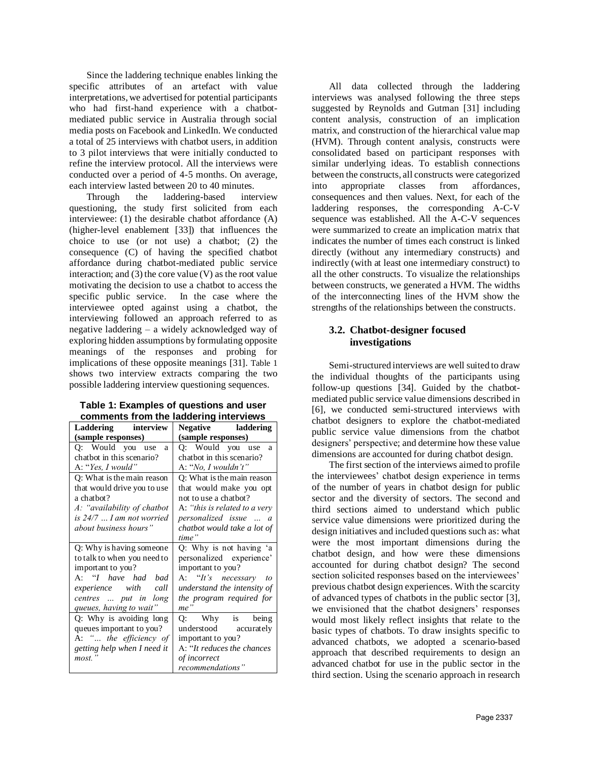Since the laddering technique enables linking the specific attributes of an artefact with value interpretations, we advertised for potential participants who had first-hand experience with a chatbotmediated public service in Australia through social media posts on Facebook and LinkedIn. We conducted a total of 25 interviews with chatbot users, in addition to 3 pilot interviews that were initially conducted to refine the interview protocol. All the interviews were conducted over a period of 4-5 months. On average, each interview lasted between 20 to 40 minutes.

Through the laddering-based interview questioning, the study first solicited from each interviewee: (1) the desirable chatbot affordance (A) (higher-level enablement [33]) that influences the choice to use (or not use) a chatbot; (2) the consequence (C) of having the specified chatbot affordance during chatbot-mediated public service interaction; and  $(3)$  the core value  $(V)$  as the root value motivating the decision to use a chatbot to access the specific public service. In the case where the interviewee opted against using a chatbot, the interviewing followed an approach referred to as negative laddering – a widely acknowledged way of exploring hidden assumptions by formulating opposite meanings of the responses and probing for implications of these opposite meanings [31]. Table 1 shows two interview extracts comparing the two possible laddering interview questioning sequences.

| Table 1: Examples of questions and user |
|-----------------------------------------|
| comments from the laddering interviews  |

| <br>Laddering interview     | יטיי ישאייו שישי<br>Negative laddering |
|-----------------------------|----------------------------------------|
| (sample responses)          | (sample responses)                     |
| Q: Would you use<br>a       | Q: Would you use<br>a                  |
|                             |                                        |
| chatbot in this scenario?   | chatbot in this scenario?              |
| A: "Yes, I would"           | A: "No, I wouldn't"                    |
| Q: What is the main reason  | Q: What is the main reason             |
| that would drive you to use | that would make you opt                |
| a chatbot?                  | not to use a chatbot?                  |
| A: "availability of chatbot | A: "this is related to a very          |
| is $24/7$ I am not worried  | personalized issue  a                  |
| about business hours"       | chatbot would take a lot of            |
|                             | time"                                  |
| Q: Why is having someone    | Q: Why is not having 'a                |
| to talk to when you need to | personalized experience'               |
| important to you?           | important to you?                      |
| A: "I have had bad          | A: "It's necessary to                  |
| experience with call        | understand the intensity of            |
| centres  put in long        | the program required for               |
| queues, having to wait"     | me"                                    |
| Q: Why is avoiding long     | Q: Why is<br>being                     |
| queues important to you?    | understood accurately                  |
| A: " the efficiency of      | important to you?                      |
| getting help when I need it | A: "It reduces the chances"            |
| most."                      | of incorrect                           |
|                             | recommendations"                       |

All data collected through the laddering interviews was analysed following the three steps suggested by Reynolds and Gutman [31] including content analysis, construction of an implication matrix, and construction of the hierarchical value map (HVM). Through content analysis, constructs were consolidated based on participant responses with similar underlying ideas. To establish connections between the constructs, all constructs were categorized into appropriate classes from affordances, consequences and then values. Next, for each of the laddering responses, the corresponding A-C-V sequence was established. All the A-C-V sequences were summarized to create an implication matrix that indicates the number of times each construct is linked directly (without any intermediary constructs) and indirectly (with at least one intermediary construct) to all the other constructs. To visualize the relationships between constructs, we generated a HVM. The widths of the interconnecting lines of the HVM show the strengths of the relationships between the constructs.

# **3.2. Chatbot-designer focused investigations**

Semi-structured interviews are well suited to draw the individual thoughts of the participants using follow-up questions [34]. Guided by the chatbotmediated public service value dimensions described in [6], we conducted semi-structured interviews with chatbot designers to explore the chatbot-mediated public service value dimensions from the chatbot designers' perspective; and determine how these value dimensions are accounted for during chatbot design.

The first section of the interviews aimed to profile the interviewees' chatbot design experience in terms of the number of years in chatbot design for public sector and the diversity of sectors. The second and third sections aimed to understand which public service value dimensions were prioritized during the design initiatives and included questions such as: what were the most important dimensions during the chatbot design, and how were these dimensions accounted for during chatbot design? The second section solicited responses based on the interviewees' previous chatbot design experiences. With the scarcity of advanced types of chatbots in the public sector [3], we envisioned that the chatbot designers' responses would most likely reflect insights that relate to the basic types of chatbots. To draw insights specific to advanced chatbots, we adopted a scenario-based approach that described requirements to design an advanced chatbot for use in the public sector in the third section. Using the scenario approach in research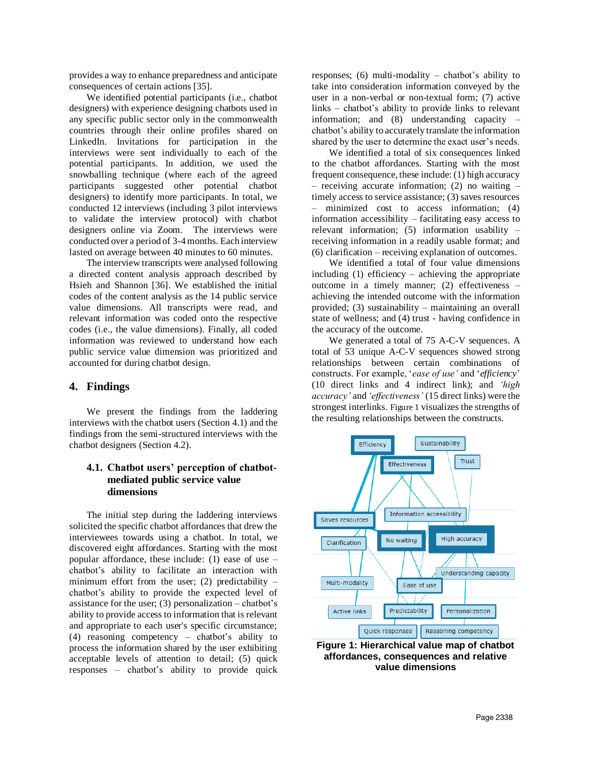provides a way to enhance preparedness and anticipate consequences of certain actions [35].

We identified potential participants (i.e., chatbot designers) with experience designing chatbots used in any specific public sector only in the commonwealth countries through their online profiles shared on LinkedIn. Invitations for participation in the interviews were sent individually to each of the potential participants. In addition, we used the snowballing technique (where each of the agreed participants suggested other potential chatbot designers) to identify more participants. In total, we conducted 12 interviews (including 3 pilot interviews to validate the interview protocol) with chatbot designers online via Zoom. The interviews were conducted over a period of 3-4 months. Each interview lasted on average between 40 minutes to 60 minutes.

The interview transcripts were analysed following a directed content analysis approach described by Hsieh and Shannon [36]. We established the initial codes of the content analysis as the 14 public service value dimensions. All transcripts were read, and relevant information was coded onto the respective codes (i.e., the value dimensions). Finally, all coded information was reviewed to understand how each public service value dimension was prioritized and accounted for during chatbot design.

#### **4. Findings**

We present the findings from the laddering interviews with the chatbot users (Section 4.1) and the findings from the semi-structured interviews with the chatbot designers (Section 4.2).

#### **4.1. Chatbot users' perception of chatbotmediated public service value dimensions**

The initial step during the laddering interviews solicited the specific chatbot affordances that drew the interviewees towards using a chatbot. In total, we discovered eight affordances. Starting with the most popular affordance, these include: (1) ease of use – chatbot's ability to facilitate an interaction with minimum effort from the user; (2) predictability  $$ chatbot's ability to provide the expected level of assistance for the user; (3) personalization  $-$  chatbot's ability to provide access to information that is relevant and appropriate to each user's specific circumstance; (4) reasoning competency – chatbot's ability to process the information shared by the user exhibiting acceptable levels of attention to detail; (5) quick responses – chatbot's ability to provide quick

responses; (6) multi-modality – chatbot's ability to take into consideration information conveyed by the user in a non-verbal or non-textual form; (7) active links – chatbot's ability to provide links to relevant information; and (8) understanding capacity – chatbot's ability to accurately translate the information shared by the user to determine the exact user's needs.

We identified a total of six consequences linked to the chatbot affordances. Starting with the most frequent consequence, these include: (1) high accuracy  $-$  receiving accurate information; (2) no waiting  $$ timely access to service assistance; (3) saves resources minimized cost to access information: (4) information accessibility – facilitating easy access to relevant information;  $(5)$  information usability – receiving information in a readily usable format; and (6) clarification – receiving explanation of outcomes.

We identified a total of four value dimensions including (1) efficiency – achieving the appropriate outcome in a timely manner; (2) effectiveness – achieving the intended outcome with the information provided; (3) sustainability – maintaining an overall state of wellness; and (4) trust - having confidence in the accuracy of the outcome.

We generated a total of 75 A-C-V sequences. A total of 53 unique A-C-V sequences showed strong relationships between certain combinations of constructs. For example, '*ease of use'* and '*efficiency*' (10 direct links and 4 indirect link); and *'high accuracy'* and *'effectiveness'* (15 direct links) were the strongest interlinks. Figure 1 visualizes the strengths of the resulting relationships between the constructs.



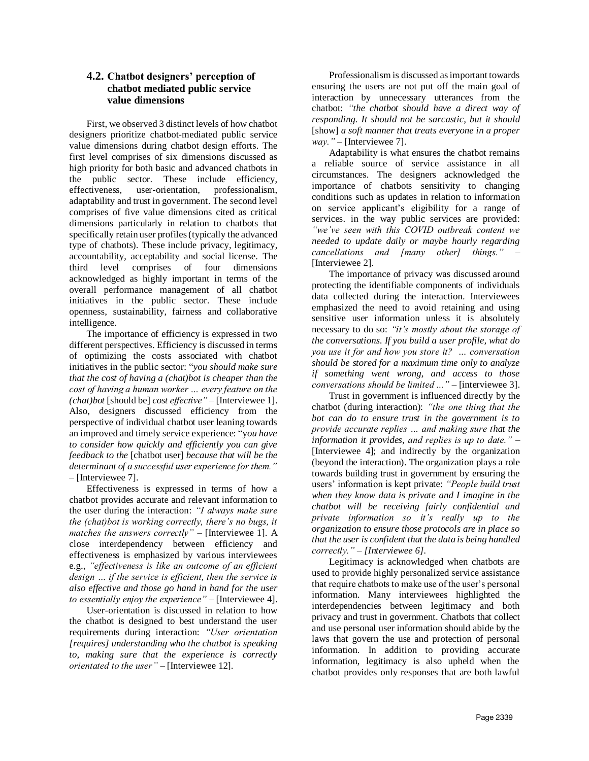#### **4.2. Chatbot designers' perception of chatbot mediated public service value dimensions**

First, we observed 3 distinct levels of how chatbot designers prioritize chatbot-mediated public service value dimensions during chatbot design efforts. The first level comprises of six dimensions discussed as high priority for both basic and advanced chatbots in the public sector. These include efficiency, effectiveness, user-orientation, professionalism, adaptability and trust in government. The second level comprises of five value dimensions cited as critical dimensions particularly in relation to chatbots that specifically retain user profiles (typically the advanced type of chatbots). These include privacy, legitimacy, accountability, acceptability and social license. The third level comprises of four dimensions acknowledged as highly important in terms of the overall performance management of all chatbot initiatives in the public sector. These include openness, sustainability, fairness and collaborative intelligence.

The importance of efficiency is expressed in two different perspectives. Efficiency is discussed in terms of optimizing the costs associated with chatbot initiatives in the public sector: "*you should make sure that the cost of having a (chat)bot is cheaper than the cost of having a human worker … every feature on the (chat)bot* [should be] *cost effective"*– [Interviewee 1]. Also, designers discussed efficiency from the perspective of individual chatbot user leaning towards an improved and timely service experience: "y*ou have to consider how quickly and efficiently you can give feedback to the* [chatbot user] *because that will be the determinant of a successful user experience for them."* – [Interviewee 7].

Effectiveness is expressed in terms of how a chatbot provides accurate and relevant information to the user during the interaction: *"I always make sure the (chat)bot is working correctly, there's no bugs, it matches the answers correctly"* – [Interviewee 1]. A close interdependency between efficiency and effectiveness is emphasized by various interviewees e.g., *"effectiveness is like an outcome of an efficient design … if the service is efficient, then the service is also effective and those go hand in hand for the user to essentially enjoy the experience"* – [Interviewee 4].

User-orientation is discussed in relation to how the chatbot is designed to best understand the user requirements during interaction: *"User orientation [requires] understanding who the chatbot is speaking to, making sure that the experience is correctly orientated to the user"* – [Interviewee 12].

Professionalism is discussed as important towards ensuring the users are not put off the main goal of interaction by unnecessary utterances from the chatbot: *"the chatbot should have a direct way of responding. It should not be sarcastic, but it should*  [show] *a soft manner that treats everyone in a proper way."* – [Interviewee 7].

Adaptability is what ensures the chatbot remains a reliable source of service assistance in all circumstances. The designers acknowledged the importance of chatbots sensitivity to changing conditions such as updates in relation to information on service applicant's eligibility for a range of services. in the way public services are provided: *"we've seen with this COVID outbreak content we needed to update daily or maybe hourly regarding cancellations and [many other] things."* – [Interviewee 2].

The importance of privacy was discussed around protecting the identifiable components of individuals data collected during the interaction. Interviewees emphasized the need to avoid retaining and using sensitive user information unless it is absolutely necessary to do so: *"it's mostly about the storage of the conversations. If you build a user profile, what do you use it for and how you store it? … conversation should be stored for a maximum time only to analyze if something went wrong, and access to those conversations should be limited ..."* – [interviewee 3].

Trust in government is influenced directly by the chatbot (during interaction): *"the one thing that the bot can do to ensure trust in the government is to provide accurate replies … and making sure that the information it provides, and replies is up to date."* – [Interviewee 4]; and indirectly by the organization (beyond the interaction). The organization plays a role towards building trust in government by ensuring the users' information is kept private: *"People build trust when they know data is private and I imagine in the chatbot will be receiving fairly confidential and private information so it's really up to the organization to ensure those protocols are in place so that the user is confident that the data is being handled correctly." – [Interviewee 6].*

Legitimacy is acknowledged when chatbots are used to provide highly personalized service assistance that require chatbots to make use of the user's personal information. Many interviewees highlighted the interdependencies between legitimacy and both privacy and trust in government. Chatbots that collect and use personal user information should abide by the laws that govern the use and protection of personal information. In addition to providing accurate information, legitimacy is also upheld when the chatbot provides only responses that are both lawful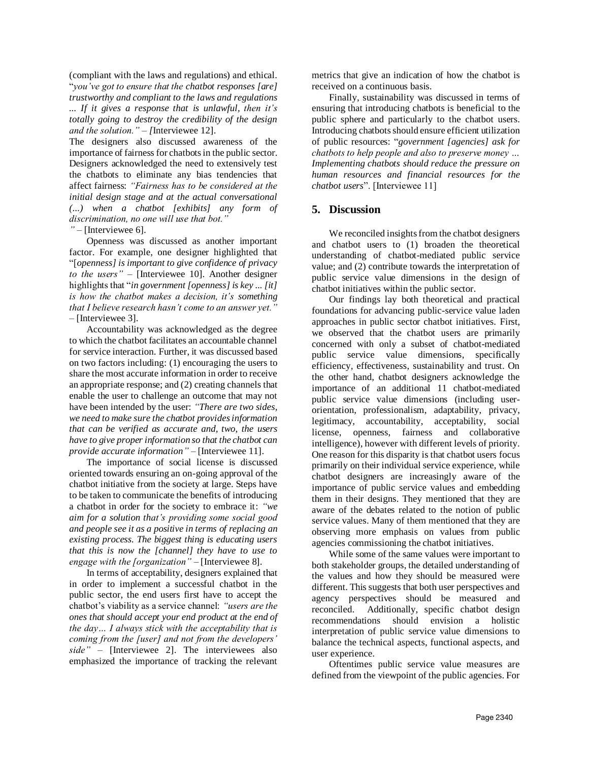(compliant with the laws and regulations) and ethical. "*you've got to ensure that the chatbot responses [are] trustworthy and compliant to the laws and regulations ... If it gives a response that is unlawful, then it's totally going to destroy the credibility of the design* 

*and the solution." – [*Interviewee 12].

The designers also discussed awareness of the importance of fairness for chatbots in the public sector. Designers acknowledged the need to extensively test the chatbots to eliminate any bias tendencies that affect fairness: *"Fairness has to be considered at the initial design stage and at the actual conversational (...) when a chatbot [exhibits] any form of discrimination, no one will use that bot."* 

*"* – [Interviewee 6].

Openness was discussed as another important factor. For example, one designer highlighted that "[*openness] is important to give confidence of privacy to the users"* – [Interviewee 10]. Another designer highlights that "*in government [openness] is key ... [it] is how the chatbot makes a decision, it's something that I believe research hasn't come to an answer yet."*  – [Interviewee 3].

Accountability was acknowledged as the degree to which the chatbot facilitates an accountable channel for service interaction. Further, it was discussed based on two factors including: (1) encouraging the users to share the most accurate information in order to receive an appropriate response; and (2) creating channels that enable the user to challenge an outcome that may not have been intended by the user: *"There are two sides, we need to make sure the chatbot provides information that can be verified as accurate and, two, the users have to give proper information so that the chatbot can provide accurate information"* – [Interviewee 11].

The importance of social license is discussed oriented towards ensuring an on-going approval of the chatbot initiative from the society at large. Steps have to be taken to communicate the benefits of introducing a chatbot in order for the society to embrace it: *"we aim for a solution that's providing some social good and people see it as a positive in terms of replacing an existing process. The biggest thing is educating users that this is now the [channel] they have to use to engage with the [organization"* – [Interviewee 8].

In terms of acceptability, designers explained that in order to implement a successful chatbot in the public sector, the end users first have to accept the chatbot's viability as a service channel: *"users are the ones that should accept your end product at the end of the day… I always stick with the acceptability that is coming from the [user] and not from the developers' side"* – [Interviewee 2]. The interviewees also emphasized the importance of tracking the relevant

metrics that give an indication of how the chatbot is received on a continuous basis.

Finally, sustainability was discussed in terms of ensuring that introducing chatbots is beneficial to the public sphere and particularly to the chatbot users. Introducing chatbots should ensure efficient utilization of public resources: "*government [agencies] ask for chatbots to help people and also to preserve money … Implementing chatbots should reduce the pressure on human resources and financial resources for the chatbot users*". [Interviewee 11]

# **5. Discussion**

We reconciled insights from the chatbot designers and chatbot users to (1) broaden the theoretical understanding of chatbot-mediated public service value; and (2) contribute towards the interpretation of public service value dimensions in the design of chatbot initiatives within the public sector.

Our findings lay both theoretical and practical foundations for advancing public-service value laden approaches in public sector chatbot initiatives. First, we observed that the chatbot users are primarily concerned with only a subset of chatbot-mediated public service value dimensions, specifically efficiency, effectiveness, sustainability and trust. On the other hand, chatbot designers acknowledge the importance of an additional 11 chatbot-mediated public service value dimensions (including userorientation, professionalism, adaptability, privacy, legitimacy, accountability, acceptability, social license, openness, fairness and collaborative intelligence), however with different levels of priority. One reason for this disparity is that chatbot users focus primarily on their individual service experience, while chatbot designers are increasingly aware of the importance of public service values and embedding them in their designs. They mentioned that they are aware of the debates related to the notion of public service values. Many of them mentioned that they are observing more emphasis on values from public agencies commissioning the chatbot initiatives.

While some of the same values were important to both stakeholder groups, the detailed understanding of the values and how they should be measured were different. This suggests that both user perspectives and agency perspectives should be measured and reconciled. Additionally, specific chatbot design recommendations should envision a holistic interpretation of public service value dimensions to balance the technical aspects, functional aspects, and user experience.

Oftentimes public service value measures are defined from the viewpoint of the public agencies. For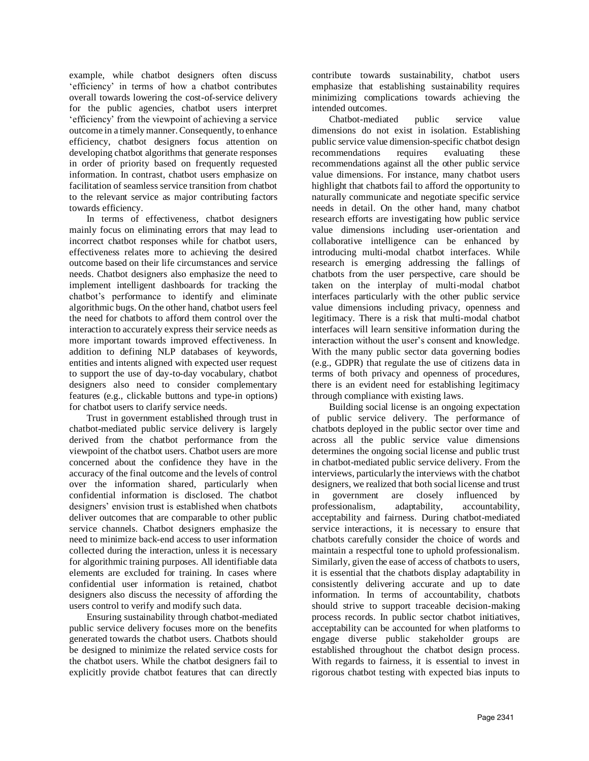example, while chatbot designers often discuss 'efficiency' in terms of how a chatbot contributes overall towards lowering the cost-of-service delivery for the public agencies, chatbot users interpret 'efficiency' from the viewpoint of achieving a service outcome in a timely manner. Consequently, to enhance efficiency, chatbot designers focus attention on developing chatbot algorithms that generate responses in order of priority based on frequently requested information. In contrast, chatbot users emphasize on facilitation of seamless service transition from chatbot to the relevant service as major contributing factors towards efficiency.

In terms of effectiveness*,* chatbot designers mainly focus on eliminating errors that may lead to incorrect chatbot responses while for chatbot users, effectiveness relates more to achieving the desired outcome based on their life circumstances and service needs. Chatbot designers also emphasize the need to implement intelligent dashboards for tracking the chatbot's performance to identify and eliminate algorithmic bugs. On the other hand, chatbot users feel the need for chatbots to afford them control over the interaction to accurately express their service needs as more important towards improved effectiveness. In addition to defining NLP databases of keywords, entities and intents aligned with expected user request to support the use of day-to-day vocabulary, chatbot designers also need to consider complementary features (e.g., clickable buttons and type-in options) for chatbot users to clarify service needs.

Trust in government established through trust in chatbot-mediated public service delivery is largely derived from the chatbot performance from the viewpoint of the chatbot users. Chatbot users are more concerned about the confidence they have in the accuracy of the final outcome and the levels of control over the information shared, particularly when confidential information is disclosed. The chatbot designers' envision trust is established when chatbots deliver outcomes that are comparable to other public service channels. Chatbot designers emphasize the need to minimize back-end access to user information collected during the interaction, unless it is necessary for algorithmic training purposes. All identifiable data elements are excluded for training. In cases where confidential user information is retained, chatbot designers also discuss the necessity of affording the users control to verify and modify such data.

Ensuring sustainability through chatbot-mediated public service delivery focuses more on the benefits generated towards the chatbot users. Chatbots should be designed to minimize the related service costs for the chatbot users. While the chatbot designers fail to explicitly provide chatbot features that can directly

contribute towards sustainability, chatbot users emphasize that establishing sustainability requires minimizing complications towards achieving the intended outcomes.

Chatbot-mediated public service value dimensions do not exist in isolation. Establishing public service value dimension-specific chatbot design recommendations requires evaluating these recommendations against all the other public service value dimensions. For instance, many chatbot users highlight that chatbots fail to afford the opportunity to naturally communicate and negotiate specific service needs in detail. On the other hand, many chatbot research efforts are investigating how public service value dimensions including user-orientation and collaborative intelligence can be enhanced by introducing multi-modal chatbot interfaces. While research is emerging addressing the fallings of chatbots from the user perspective, care should be taken on the interplay of multi-modal chatbot interfaces particularly with the other public service value dimensions including privacy, openness and legitimacy. There is a risk that multi-modal chatbot interfaces will learn sensitive information during the interaction without the user's consent and knowledge. With the many public sector data governing bodies (e.g., GDPR) that regulate the use of citizens data in terms of both privacy and openness of procedures, there is an evident need for establishing legitimacy through compliance with existing laws.

Building social license is an ongoing expectation of public service delivery. The performance of chatbots deployed in the public sector over time and across all the public service value dimensions determines the ongoing social license and public trust in chatbot-mediated public service delivery. From the interviews, particularly the interviews with the chatbot designers, we realized that both social license and trust in government are closely influenced by professionalism, adaptability, accountability, acceptability and fairness. During chatbot-mediated service interactions, it is necessary to ensure that chatbots carefully consider the choice of words and maintain a respectful tone to uphold professionalism. Similarly, given the ease of access of chatbots to users, it is essential that the chatbots display adaptability in consistently delivering accurate and up to date information. In terms of accountability, chatbots should strive to support traceable decision-making process records. In public sector chatbot initiatives, acceptability can be accounted for when platforms to engage diverse public stakeholder groups are established throughout the chatbot design process. With regards to fairness, it is essential to invest in rigorous chatbot testing with expected bias inputs to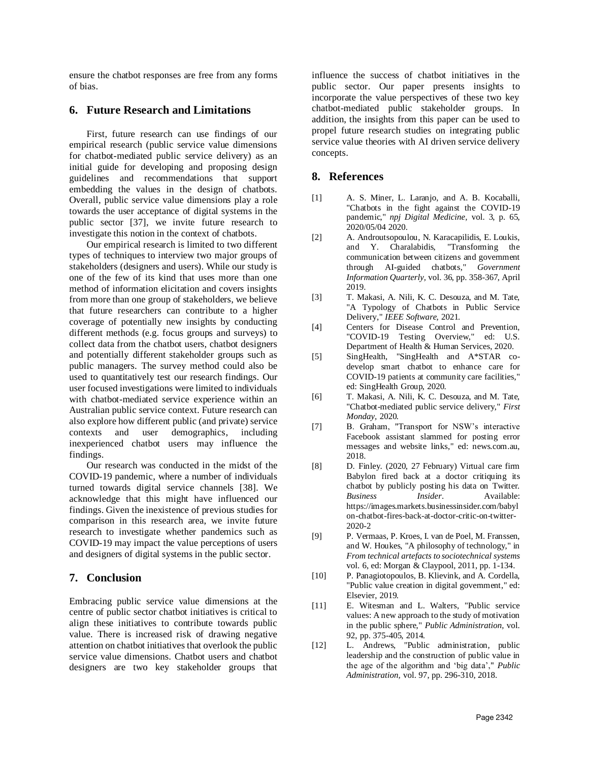ensure the chatbot responses are free from any forms of bias.

#### **6. Future Research and Limitations**

First, future research can use findings of our empirical research (public service value dimensions for chatbot-mediated public service delivery) as an initial guide for developing and proposing design guidelines and recommendations that support embedding the values in the design of chatbots. Overall, public service value dimensions play a role towards the user acceptance of digital systems in the public sector [37], we invite future research to investigate this notion in the context of chatbots.

Our empirical research is limited to two different types of techniques to interview two major groups of stakeholders (designers and users). While our study is one of the few of its kind that uses more than one method of information elicitation and covers insights from more than one group of stakeholders, we believe that future researchers can contribute to a higher coverage of potentially new insights by conducting different methods (e.g. focus groups and surveys) to collect data from the chatbot users, chatbot designers and potentially different stakeholder groups such as public managers. The survey method could also be used to quantitatively test our research findings. Our user focused investigations were limited to individuals with chatbot-mediated service experience within an Australian public service context. Future research can also explore how different public (and private) service contexts and user demographics, including inexperienced chatbot users may influence the findings.

Our research was conducted in the midst of the COVID-19 pandemic, where a number of individuals turned towards digital service channels [38]. We acknowledge that this might have influenced our findings. Given the inexistence of previous studies for comparison in this research area, we invite future research to investigate whether pandemics such as COVID-19 may impact the value perceptions of users and designers of digital systems in the public sector.

# **7. Conclusion**

Embracing public service value dimensions at the centre of public sector chatbot initiatives is critical to align these initiatives to contribute towards public value. There is increased risk of drawing negative attention on chatbot initiatives that overlook the public service value dimensions. Chatbot users and chatbot designers are two key stakeholder groups that influence the success of chatbot initiatives in the public sector. Our paper presents insights to incorporate the value perspectives of these two key chatbot-mediated public stakeholder groups. In addition, the insights from this paper can be used to propel future research studies on integrating public service value theories with AI driven service delivery concepts.

# **8. References**

- [1] A. S. Miner, L. Laranjo, and A. B. Kocaballi, "Chatbots in the fight against the COVID-19 pandemic," *npj Digital Medicine,* vol. 3, p. 65, 2020/05/04 2020.
- [2] A. Androutsopoulou, N. Karacapilidis, E. Loukis, and Y. Charalabidis, communication between citizens and government through AI-guided chatbots," *Government Information Quarterly,* vol. 36, pp. 358-367, April 2019.
- [3] T. Makasi, A. Nili, K. C. Desouza, and M. Tate, "A Typology of Chatbots in Public Service Delivery," *IEEE Software,* 2021.
- [4] Centers for Disease Control and Prevention, "COVID-19 Testing Overview," ed: U.S. Department of Health & Human Services, 2020.
- [5] SingHealth, "SingHealth and A\*STAR codevelop smart chatbot to enhance care for COVID-19 patients at community care facilities," ed: SingHealth Group, 2020.
- [6] T. Makasi, A. Nili, K. C. Desouza, and M. Tate, "Chatbot-mediated public service delivery," *First Monday,* 2020.
- [7] B. Graham, "Transport for NSW's interactive Facebook assistant slammed for posting error messages and website links," ed: news.com.au, 2018.
- [8] D. Finley. (2020, 27 February) Virtual care firm Babylon fired back at a doctor critiquing its chatbot by publicly posting his data on Twitter. *Business Insider*. Available: [https://images.markets.businessinsider.com/babyl](https://images.markets.businessinsider.com/babylon-chatbot-fires-back-at-doctor-critic-on-twitter-2020-2) [on-chatbot-fires-back-at-doctor-critic-on-twitter-](https://images.markets.businessinsider.com/babylon-chatbot-fires-back-at-doctor-critic-on-twitter-2020-2)[2020-2](https://images.markets.businessinsider.com/babylon-chatbot-fires-back-at-doctor-critic-on-twitter-2020-2)
- [9] P. Vermaas, P. Kroes, I. van de Poel, M. Franssen, and W. Houkes, "A philosophy of technology," in *From technical artefacts to sociotechnical systems* vol. 6, ed: Morgan & Claypool, 2011, pp. 1-134.
- [10] P. Panagiotopoulos, B. Klievink, and A. Cordella, "Public value creation in digital government," ed: Elsevier, 2019.
- [11] E. Witesman and L. Walters, "Public service values: A new approach to the study of motivation in the public sphere," *Public Administration,* vol. 92, pp. 375-405, 2014.
- [12] L. Andrews, "Public administration, public leadership and the construction of public value in the age of the algorithm and 'big data'," *Public Administration,* vol. 97, pp. 296-310, 2018.